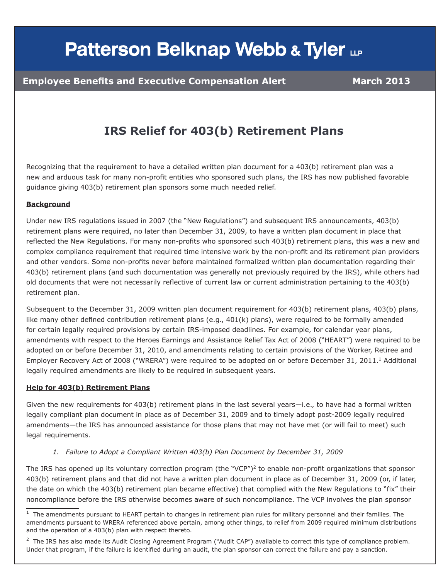# **Patterson Belknap Webb & Tyler LLP**

### **IRS Relief for 403(b) Retirement Plans**

Recognizing that the requirement to have a detailed written plan document for a 403(b) retirement plan was a new and arduous task for many non-profit entities who sponsored such plans, the IRS has now published favorable guidance giving 403(b) retirement plan sponsors some much needed relief.

#### **Background**

Under new IRS regulations issued in 2007 (the "New Regulations") and subsequent IRS announcements, 403(b) retirement plans were required, no later than December 31, 2009, to have a written plan document in place that reflected the New Regulations. For many non-profits who sponsored such 403(b) retirement plans, this was a new and complex compliance requirement that required time intensive work by the non-profit and its retirement plan providers and other vendors. Some non-profits never before maintained formalized written plan documentation regarding their 403(b) retirement plans (and such documentation was generally not previously required by the IRS), while others had old documents that were not necessarily reflective of current law or current administration pertaining to the 403(b) retirement plan.

Subsequent to the December 31, 2009 written plan document requirement for 403(b) retirement plans, 403(b) plans, like many other defined contribution retirement plans (e.g., 401(k) plans), were required to be formally amended for certain legally required provisions by certain IRS-imposed deadlines. For example, for calendar year plans, amendments with respect to the Heroes Earnings and Assistance Relief Tax Act of 2008 ("HEART") were required to be adopted on or before December 31, 2010, and amendments relating to certain provisions of the Worker, Retiree and Employer Recovery Act of 2008 ("WRERA") were required to be adopted on or before December 31, 2011.<sup>1</sup> Additional legally required amendments are likely to be required in subsequent years.

#### **Help for 403(b) Retirement Plans**

Given the new requirements for 403(b) retirement plans in the last several years—i.e., to have had a formal written legally compliant plan document in place as of December 31, 2009 and to timely adopt post-2009 legally required amendments—the IRS has announced assistance for those plans that may not have met (or will fail to meet) such legal requirements.

*1. Failure to Adopt a Compliant Written 403(b) Plan Document by December 31, 2009*

The IRS has opened up its voluntary correction program (the "VCP")<sup>2</sup> to enable non-profit organizations that sponsor 403(b) retirement plans and that did not have a written plan document in place as of December 31, 2009 (or, if later, the date on which the 403(b) retirement plan became effective) that complied with the New Regulations to "fix" their noncompliance before the IRS otherwise becomes aware of such noncompliance. The VCP involves the plan sponsor

 $<sup>2</sup>$  The IRS has also made its Audit Closing Agreement Program ("Audit CAP") available to correct this type of compliance problem.</sup> Under that program, if the failure is identified during an audit, the plan sponsor can correct the failure and pay a sanction.

 $1$  The amendments pursuant to HEART pertain to changes in retirement plan rules for military personnel and their families. The amendments pursuant to WRERA referenced above pertain, among other things, to relief from 2009 required minimum distributions and the operation of a 403(b) plan with respect thereto.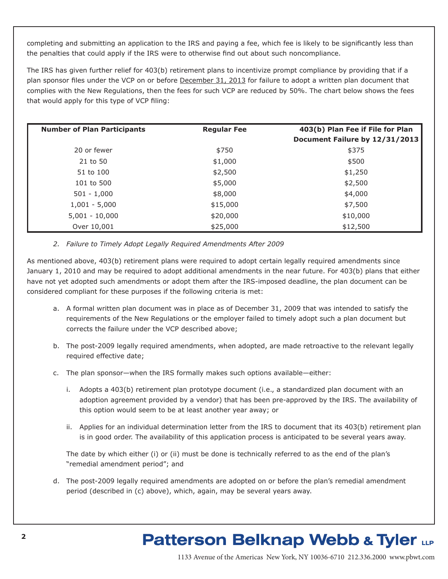completing and submitting an application to the IRS and paying a fee, which fee is likely to be significantly less than the penalties that could apply if the IRS were to otherwise find out about such noncompliance.

The IRS has given further relief for 403(b) retirement plans to incentivize prompt compliance by providing that if a plan sponsor files under the VCP on or before December 31, 2013 for failure to adopt a written plan document that complies with the New Regulations, then the fees for such VCP are reduced by 50%. The chart below shows the fees that would apply for this type of VCP filing:

| <b>Number of Plan Participants</b> | <b>Regular Fee</b> | 403(b) Plan Fee if File for Plan<br>Document Failure by 12/31/2013 |
|------------------------------------|--------------------|--------------------------------------------------------------------|
| 20 or fewer                        | \$750              | \$375                                                              |
| 21 to 50                           | \$1,000            | \$500                                                              |
| 51 to 100                          | \$2,500            | \$1,250                                                            |
| 101 to 500                         | \$5,000            | \$2,500                                                            |
| $501 - 1,000$                      | \$8,000            | \$4,000                                                            |
| $1,001 - 5,000$                    | \$15,000           | \$7,500                                                            |
| $5,001 - 10,000$                   | \$20,000           | \$10,000                                                           |
| Over 10,001                        | \$25,000           | \$12,500                                                           |

#### *2. Failure to Timely Adopt Legally Required Amendments After 2009*

As mentioned above, 403(b) retirement plans were required to adopt certain legally required amendments since January 1, 2010 and may be required to adopt additional amendments in the near future. For 403(b) plans that either have not yet adopted such amendments or adopt them after the IRS-imposed deadline, the plan document can be considered compliant for these purposes if the following criteria is met:

- a. A formal written plan document was in place as of December 31, 2009 that was intended to satisfy the requirements of the New Regulations or the employer failed to timely adopt such a plan document but corrects the failure under the VCP described above;
- b. The post-2009 legally required amendments, when adopted, are made retroactive to the relevant legally required effective date;
- c. The plan sponsor—when the IRS formally makes such options available—either:
	- i. Adopts a 403(b) retirement plan prototype document (i.e., a standardized plan document with an adoption agreement provided by a vendor) that has been pre-approved by the IRS. The availability of this option would seem to be at least another year away; or
	- ii. Applies for an individual determination letter from the IRS to document that its 403(b) retirement plan is in good order. The availability of this application process is anticipated to be several years away.

The date by which either (i) or (ii) must be done is technically referred to as the end of the plan's "remedial amendment period"; and

d. The post-2009 legally required amendments are adopted on or before the plan's remedial amendment period (described in (c) above), which, again, may be several years away.

## **Patterson Belknap Webb & Tyler LLP**